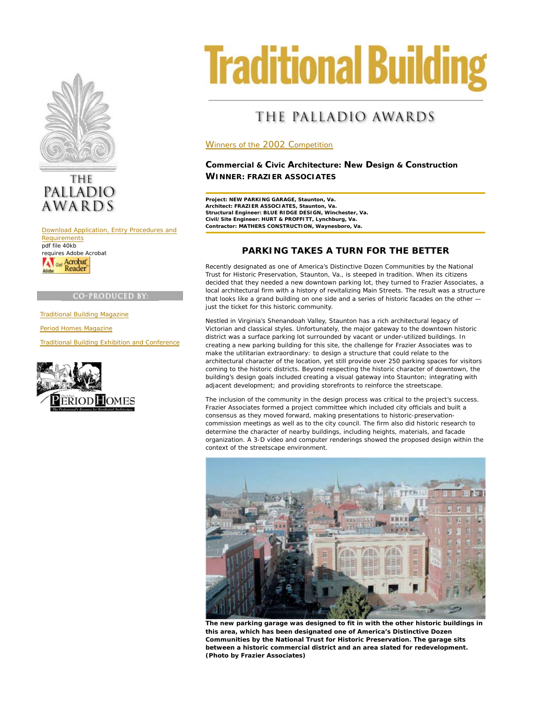



Download Application, Entry Procedures and **Requirements** pdf file 40kb requires Adobe Acrobat Get Acrobat

#### **CO-PRODUCED BY**

Traditional Building Magazine

Period Homes Magazine

Traditional Building Exhibition and Conference



# **Traditional Building**

# THE PALLADIO AWARDS

#### Winners of the 2002 Competition

### **Commercial & Civic Architecture: New Design & Construction WINNER: FRAZIER ASSOCIATES**

**Project: NEW PARKING GARAGE, Staunton, Va. Architect: FRAZIER ASSOCIATES, Staunton, Va. Structural Engineer: BLUE RIDGE DESIGN, Winchester, Va. Civil/Site Engineer: HURT & PROFFITT, Lynchburg, Va. Contractor: MATHERS CONSTRUCTION, Waynesboro, Va.**

## **PARKING TAKES A TURN FOR THE BETTER**

Recently designated as one of America's Distinctive Dozen Communities by the National Trust for Historic Preservation, Staunton, Va., is steeped in tradition. When its citizens decided that they needed a new downtown parking lot, they turned to Frazier Associates, a local architectural firm with a history of revitalizing Main Streets. The result was a structure that looks like a grand building on one side and a series of historic facades on the other just the ticket for this historic community.

Nestled in Virginia's Shenandoah Valley, Staunton has a rich architectural legacy of Victorian and classical styles. Unfortunately, the major gateway to the downtown historic district was a surface parking lot surrounded by vacant or under-utilized buildings. In creating a new parking building for this site, the challenge for Frazier Associates was to make the utilitarian extraordinary: to design a structure that could relate to the architectural character of the location, yet still provide over 250 parking spaces for visitors coming to the historic districts. Beyond respecting the historic character of downtown, the building's design goals included creating a visual gateway into Staunton; integrating with adjacent development; and providing storefronts to reinforce the streetscape.

The inclusion of the community in the design process was critical to the project's success. Frazier Associates formed a project committee which included city officials and built a consensus as they moved forward, making presentations to historic-preservationcommission meetings as well as to the city council. The firm also did historic research to determine the character of nearby buildings, including heights, materials, and facade organization. A 3-D video and computer renderings showed the proposed design within the context of the streetscape environment.



**The new parking garage was designed to fit in with the other historic buildings in this area, which has been designated one of America's Distinctive Dozen Communities by the National Trust for Historic Preservation. The garage sits between a historic commercial district and an area slated for redevelopment. (Photo by Frazier Associates)**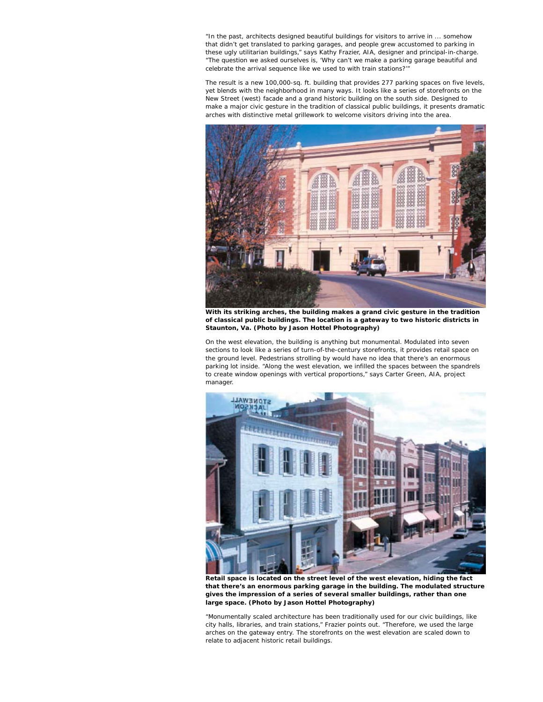"In the past, architects designed beautiful buildings for visitors to arrive in ... somehow that didn't get translated to parking garages, and people grew accustomed to parking in these ugly utilitarian buildings," says Kathy Frazier, AIA, designer and principal-in-charge. "The question we asked ourselves is, 'Why can't we make a parking garage beautiful and celebrate the arrival sequence like we used to with train stations?'"

The result is a new 100,000-sq. ft. building that provides 277 parking spaces on five levels, yet blends with the neighborhood in many ways. It looks like a series of storefronts on the New Street (west) facade and a grand historic building on the south side. Designed to make a major civic gesture in the tradition of classical public buildings, it presents dramatic arches with distinctive metal grillework to welcome visitors driving into the area.



**With its striking arches, the building makes a grand civic gesture in the tradition of classical public buildings. The location is a gateway to two historic districts in Staunton, Va. (Photo by Jason Hottel Photography)**

On the west elevation, the building is anything but monumental. Modulated into seven sections to look like a series of turn-of-the-century storefronts, it provides retail space on the ground level. Pedestrians strolling by would have no idea that there's an enormous parking lot inside. "Along the west elevation, we infilled the spaces between the spandrels to create window openings with vertical proportions," says Carter Green, AIA, project manager.



**Retail space is located on the street level of the west elevation, hiding the fact that there's an enormous parking garage in the building. The modulated structure gives the impression of a series of several smaller buildings, rather than one large space. (Photo by Jason Hottel Photography)**

"Monumentally scaled architecture has been traditionally used for our civic buildings, like city halls, libraries, and train stations," Frazier points out. "Therefore, we used the large arches on the gateway entry. The storefronts on the west elevation are scaled down to relate to adjacent historic retail buildings.